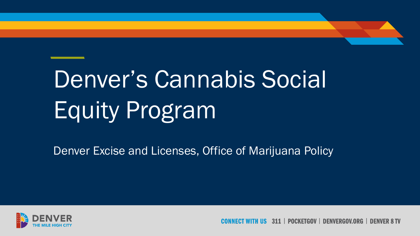# Denver's Cannabis Social Equity Program

Denver Excise and Licenses, Office of Marijuana Policy



311 | POCKFTGOV | DFNVFRGOV.ORG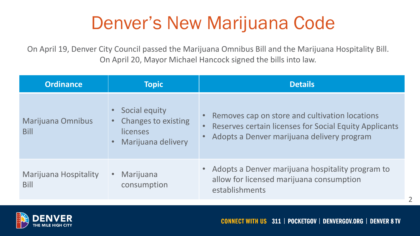#### Denver's New Marijuana Code

On April 19, Denver City Council passed the Marijuana Omnibus Bill and the Marijuana Hospitality Bill. On April 20, Mayor Michael Hancock signed the bills into law.

| <b>Ordinance</b>                            | <b>Topic</b>                                                                  | <b>Details</b>                                                                                                                                                |
|---------------------------------------------|-------------------------------------------------------------------------------|---------------------------------------------------------------------------------------------------------------------------------------------------------------|
| Marijuana Omnibus<br><b>Bill</b>            | Social equity<br><b>Changes to existing</b><br>licenses<br>Marijuana delivery | Removes cap on store and cultivation locations<br><b>Reserves certain licenses for Social Equity Applicants</b><br>Adopts a Denver marijuana delivery program |
| <b>Marijuana Hospitality</b><br><b>Bill</b> | Marijuana<br>consumption                                                      | • Adopts a Denver marijuana hospitality program to<br>allow for licensed marijuana consumption<br>establishments                                              |

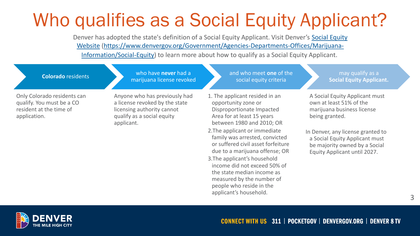#### Who qualifies as a Social Equity Applicant?

Denver has adopted the state's definition of a Social Equity Applicant. Visit Denver's Social Equity Website [\(https://www.denvergov.org/Government/Agencies-Departments-Offices/Marijuana-](https://www.denvergov.org/Government/Agencies-Departments-Offices/Marijuana-Information/Social-Equity)Information/Social-Equity) to learn more about how to qualify as a Social Equity Applicant.

**Colorado** residents who have **never** had a marijuana license revoked and who meet **one** of the may qualify as a

Only Colorado residents can qualify. You must be a CO resident at the time of application.

Anyone who has previously had a license revoked by the state licensing authority cannot qualify as a social equity applicant.

social equity criteria

- 1. The applicant resided in an opportunity zone or Disproportionate Impacted Area for at least 15 years between 1980 and 2010; OR
- 2.The applicant or immediate family was arrested, convicted or suffered civil asset forfeiture due to a marijuana offense; OR
- 3.The applicant's household income did not exceed 50% of the state median income as measured by the number of people who reside in the applicant's household.

**Social Equity Applicant.**

A Social Equity Applicant must own at least 51% of the marijuana business license being granted.

In Denver, any license granted to a Social Equity Applicant must be majority owned by a Social Equity Applicant until 2027.

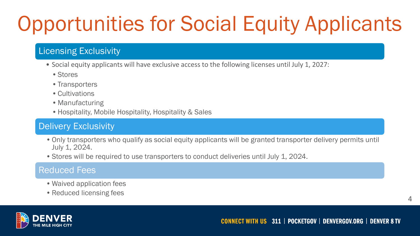# Opportunities for Social Equity Applicants

#### Licensing Exclusivity

- Social equity applicants will have exclusive access to the following licenses until July 1, 2027:
	- Stores
	- Transporters
	- Cultivations
	- Manufacturing
	- Hospitality, Mobile Hospitality, Hospitality & Sales

#### Delivery Exclusivity

- •Only transporters who qualify as social equity applicants will be granted transporter delivery permits until July 1, 2024.
- •Stores will be required to use transporters to conduct deliveries until July 1, 2024.

#### Reduced Fees

- Waived application fees
- Reduced licensing fees

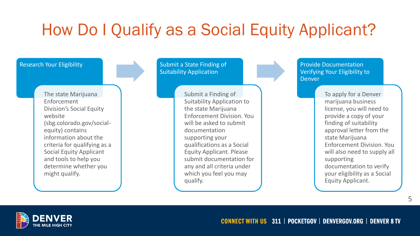#### How Do I Qualify as a Social Equity Applicant?

#### Research Your Eligibility

The state Marijuana Enforcement Division's Social Equity website (sbg.colorado.gov/socialequity) contains information about the criteria for qualifying as a Social Equity Applicant and tools to help you determine whether you might qualify.

Submit a State Finding of Suitability Application

> Submit a Finding of Suitability Application to the state Marijuana Enforcement Division. You will be asked to submit documentation supporting your qualifications as a Social Equity Applicant. Please submit documentation for any and all criteria under which you feel you may qualify.

Provide Documentation Verifying Your Eligibility to Denver

> To apply for a Denver marijuana business license, you will need to provide a copy of your finding of suitability approval letter from the state Marijuana Enforcement Division. You will also need to supply all supporting documentation to verify your eligibility as a Social Equity Applicant.

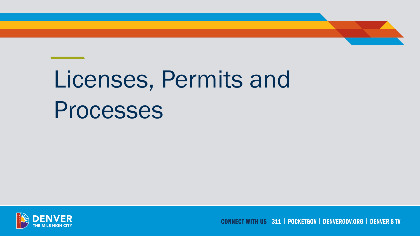# Licenses, Permits and Processes



**CONNECT WITH US 311 | POCKETGOV | DENVERGOV.ORG | DENVER 8 TV**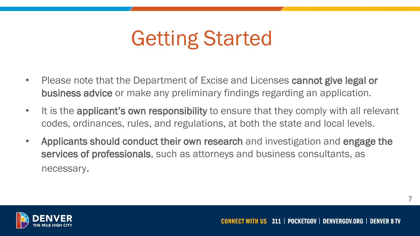## Getting Started

- Please note that the Department of Excise and Licenses cannot give legal or business advice or make any preliminary findings regarding an application.
- It is the applicant's own responsibility to ensure that they comply with all relevant codes, ordinances, rules, and regulations, at both the state and local levels.
- Applicants should conduct their own research and investigation and engage the services of professionals, such as attorneys and business consultants, as necessary.

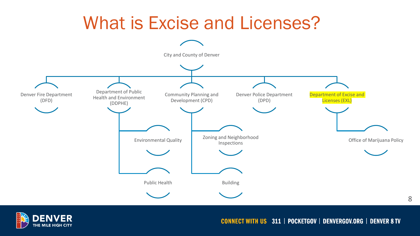



**CONNECT WITH US 311 | POCKETGOV | DENVERGOV.ORG | DENVER 8 TV**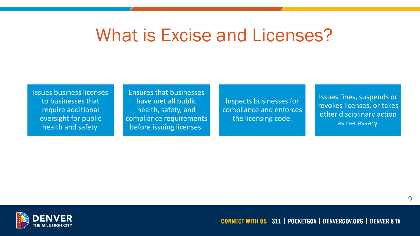#### What is Excise and Licenses?

Issues business licenses to businesses that require additional oversight for public health and safety.

Ensures that businesses have met all public health, safety, and compliance requirements before issuing licenses.

Inspects businesses for compliance and enforces the licensing code.

Issues fines, suspends or revokes licenses, or takes other disciplinary action as necessary.

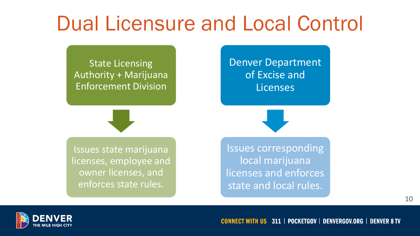### Dual Licensure and Local Control

State Licensing Authority + Marijuana Enforcement Division

Denver Department of Excise and Licenses

Issues state marijuana licenses, employee and owner licenses, and enforces state rules.

Issues corresponding local marijuana licenses and enforces state and local rules.

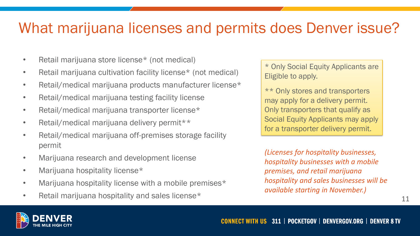#### What marijuana licenses and permits does Denver issue?

- Retail marijuana store license\* (not medical)
- Retail marijuana cultivation facility license\* (not medical)
- Retail/medical marijuana products manufacturer license\*
- Retail/medical marijuana testing facility license
- Retail/medical marijuana transporter license\*
- Retail/medical marijuana delivery permit\*\*
- Retail/medical marijuana off-premises storage facility permit
- Marijuana research and development license
- Marijuana hospitality license\*
- Marijuana hospitality license with a mobile premises\*
- Retail marijuana hospitality and sales license\*

\* Only Social Equity Applicants are Eligible to apply.

\*\* Only stores and transporters may apply for a delivery permit. Only transporters that qualify as Social Equity Applicants may apply for a transporter delivery permit.

*(Licenses for hospitality businesses, hospitality businesses with a mobile premises, and retail marijuana hospitality and sales businesses will be available starting in November.)*

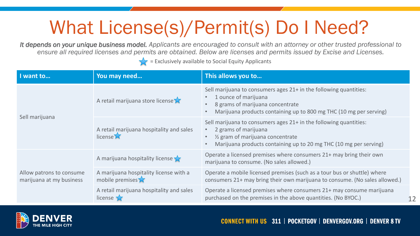#### What License(s)/Permit(s) Do I Need?

*It depends on your unique business model. Applicants are encouraged to consult with an attorney or other trusted professional to ensure all required licenses and permits are obtained. Below are licenses and permits issued by Excise and Licenses.*

 $\sqrt{\phantom{a}}$  = Exclusively available to Social Equity Applicants

| I want to                                            | You may need                                                     | This allows you to                                                                                                                                                                                                                                       |
|------------------------------------------------------|------------------------------------------------------------------|----------------------------------------------------------------------------------------------------------------------------------------------------------------------------------------------------------------------------------------------------------|
| Sell marijuana                                       | A retail marijuana store license $\lambda$                       | Sell marijuana to consumers ages 21+ in the following quantities:<br>1 ounce of marijuana<br>$\bullet$<br>8 grams of marijuana concentrate<br>Marijuana products containing up to 800 mg THC (10 mg per serving)                                         |
|                                                      | A retail marijuana hospitality and sales<br>license <sup>X</sup> | Sell marijuana to consumers ages 21+ in the following quantities:<br>2 grams of marijuana<br>$\bullet$ .<br>1/ <sub>2</sub> gram of marijuana concentrate<br>$\bullet$<br>Marijuana products containing up to 20 mg THC (10 mg per serving)<br>$\bullet$ |
| Allow patrons to consume<br>marijuana at my business | A marijuana hospitality license $\sqrt{\phantom{a}}$             | Operate a licensed premises where consumers 21+ may bring their own<br>marijuana to consume. (No sales allowed.)                                                                                                                                         |
|                                                      | A marijuana hospitality license with a<br>mobile premises $\chi$ | Operate a mobile licensed premises (such as a tour bus or shuttle) where<br>consumers 21+ may bring their own marijuana to consume. (No sales allowed.)                                                                                                  |
|                                                      | A retail marijuana hospitality and sales<br>license              | Operate a licensed premises where consumers 21+ may consume marijuana<br>purchased on the premises in the above quantities. (No BYOC.)<br>12                                                                                                             |

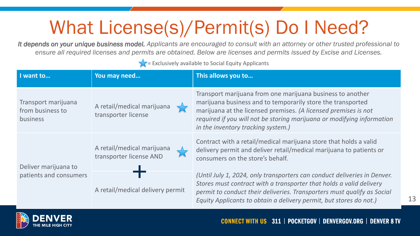#### What License(s)/Permit(s) Do I Need?

*It depends on your unique business model. Applicants are encouraged to consult with an attorney or other trusted professional to ensure all required licenses and permits are obtained. Below are licenses and permits issued by Excise and Licenses.*

 $\sqrt{\frac{1}{1-\epsilon}}$  = Exclusively available to Social Equity Applicants

| I want to                                                  | You may need                                          | This allows you to                                                                                                                                                                                                                                                                                           |
|------------------------------------------------------------|-------------------------------------------------------|--------------------------------------------------------------------------------------------------------------------------------------------------------------------------------------------------------------------------------------------------------------------------------------------------------------|
| Transport marijuana<br>from business to<br><b>business</b> | A retail/medical marijuana<br>transporter license     | Transport marijuana from one marijuana business to another<br>marijuana business and to temporarily store the transported<br>marijuana at the licensed premises. (A licensed premises is not<br>required if you will not be storing marijuana or modifying information<br>in the inventory tracking system.) |
| Deliver marijuana to<br>patients and consumers             | A retail/medical marijuana<br>transporter license AND | Contract with a retail/medical marijuana store that holds a valid<br>delivery permit and deliver retail/medical marijuana to patients or<br>consumers on the store's behalf.                                                                                                                                 |
|                                                            | A retail/medical delivery permit                      | (Until July 1, 2024, only transporters can conduct deliveries in Denver.<br>Stores must contract with a transporter that holds a valid delivery<br>permit to conduct their deliveries. Transporters must qualify as Social<br>Equity Applicants to obtain a delivery permit, but stores do not.)             |

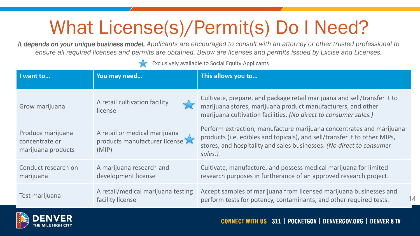#### What License(s)/Permit(s) Do I Need?

*It depends on your unique business model. Applicants are encouraged to consult with an attorney or other trusted professional to ensure all required licenses and permits are obtained. Below are licenses and permits issued by Excise and Licenses.*

 $\sqrt{\frac{1}{1-\epsilon}}$  = Exclusively available to Social Equity Applicants

| I want to                                                 | You may need                                                            | This allows you to                                                                                                                                                                                                                   |
|-----------------------------------------------------------|-------------------------------------------------------------------------|--------------------------------------------------------------------------------------------------------------------------------------------------------------------------------------------------------------------------------------|
| Grow marijuana                                            | A retail cultivation facility<br>license                                | Cultivate, prepare, and package retail marijuana and sell/transfer it to<br>marijuana stores, marijuana product manufacturers, and other<br>marijuana cultivation facilities. (No direct to consumer sales.)                         |
| Produce marijuana<br>concentrate or<br>marijuana products | A retail or medical marijuana<br>products manufacturer license<br>(MIP) | Perform extraction, manufacture marijuana concentrates and marijuana<br>products (i.e. edibles and topicals), and sell/transfer it to other MIPs,<br>stores, and hospitality and sales businesses. (No direct to consumer<br>sales.) |
| Conduct research on<br>marijuana                          | A marijuana research and<br>development license                         | Cultivate, manufacture, and possess medical marijuana for limited<br>research purposes in furtherance of an approved research project.                                                                                               |
| Test marijuana                                            | A retail/medical marijuana testing<br>facility license                  | Accept samples of marijuana from licensed marijuana businesses and<br>14<br>perform tests for potency, contaminants, and other required tests.                                                                                       |

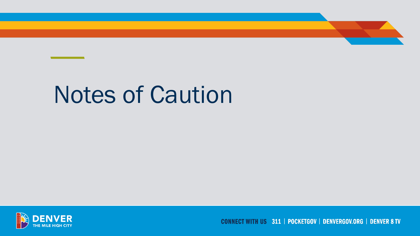# Notes of Caution



**CONNECT WITH US 311 | POCKETGOV | DENVERGOV.ORG | DENVER 8 TV**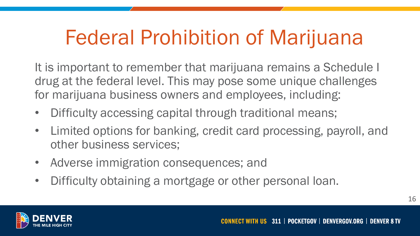## Federal Prohibition of Marijuana

It is important to remember that marijuana remains a Schedule I drug at the federal level. This may pose some unique challenges for marijuana business owners and employees, including:

- Difficulty accessing capital through traditional means;
- Limited options for banking, credit card processing, payroll, and other business services;
- Adverse immigration consequences; and
- Difficulty obtaining a mortgage or other personal loan.

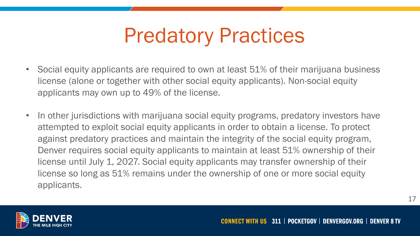### Predatory Practices

- Social equity applicants are required to own at least 51% of their marijuana business license (alone or together with other social equity applicants). Non-social equity applicants may own up to 49% of the license.
- In other jurisdictions with marijuana social equity programs, predatory investors have attempted to exploit social equity applicants in order to obtain a license. To protect against predatory practices and maintain the integrity of the social equity program, Denver requires social equity applicants to maintain at least 51% ownership of their license until July 1, 2027. Social equity applicants may transfer ownership of their license so long as 51% remains under the ownership of one or more social equity applicants.

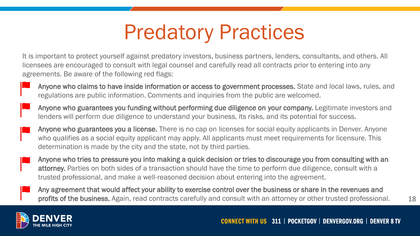## Predatory Practices

It is important to protect yourself against predatory investors, business partners, lenders, consultants, and others. All licensees are encouraged to consult with legal counsel and carefully read all contracts prior to entering into any agreements. Be aware of the following red flags:

- Anyone who claims to have inside information or access to government processes. State and local laws, rules, and regulations are public information. Comments and inquiries from the public are welcomed.
- Anyone who guarantees you funding without performing due diligence on your company. Legitimate investors and lenders will perform due diligence to understand your business, its risks, and its potential for success.
- Anyone who guarantees you a license. There is no cap on licenses for social equity applicants in Denver. Anyone who qualifies as a social equity applicant may apply. All applicants must meet requirements for licensure. This determination is made by the city and the state, not by third parties.
- Anyone who tries to pressure you into making a quick decision or tries to discourage you from consulting with an attorney. Parties on both sides of a transaction should have the time to perform due diligence, consult with a trusted professional, and make a well-reasoned decision about entering into the agreement.
- Any agreement that would affect your ability to exercise control over the business or share in the revenues and profits of the business. Again, read contracts carefully and consult with an attorney or other trusted professional.

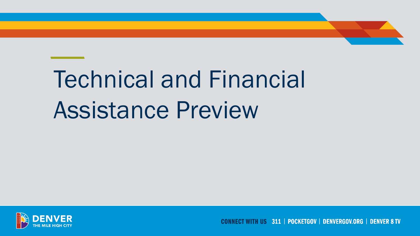# Technical and Financial Assistance Preview



**CONNECT WITH US 311 | POCKETGOV | DENVERGOV.ORG | DENVER 8 TV**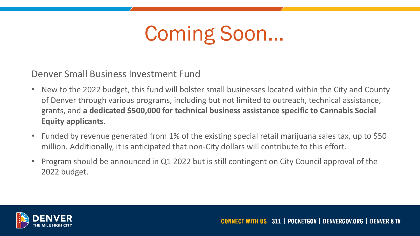## Coming Soon...

Denver Small Business Investment Fund

- New to the 2022 budget, this fund will bolster small businesses located within the City and County of Denver through various programs, including but not limited to outreach, technical assistance, grants, and **a dedicated \$500,000 for technical business assistance specific to Cannabis Social Equity applicants**.
- Funded by revenue generated from 1% of the existing special retail marijuana sales tax, up to \$50 million. Additionally, it is anticipated that non-City dollars will contribute to this effort.
- Program should be announced in Q1 2022 but is still contingent on City Council approval of the 2022 budget.